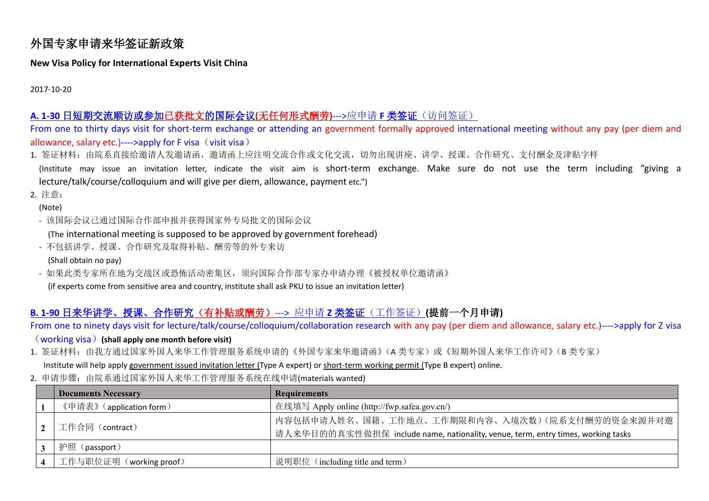# 外国专家申请来华签证新政策

#### **New Visa Policy for International Experts Visit China**

2017-10-20

## **A. 1-30** 日短期交流顺访或参加已获批文的国际会议**(**无任何形式酬劳**)**--->应申请 **F** 类签证(访问签证)

From one to thirty days visit for short-term exchange or attending an government formally approved international meeting without any pay (per diem and allowance, salary etc.)---->apply for F visa  $\cdot$  visit visa)

- 1. 签证材料: 由院系直接给邀请人发邀请函, 邀请函上应注明交流合作或文化交流, 切勿出现讲座、讲学、授课、合作研究、支付酬金及津贴字样
- (Institute may issue an invitation letter, indicate the visit aim is short-term exchange. Make sure do not use the term including "giving a lecture/talk/course/colloquium and will give per diem, allowance, payment etc.")

2. 注意:

(Note)

- 该国际会议已通过国际合作部申报并获得国家外专局批文的国际会议

(The international meeting is supposed to be approved by government forehead)

- 不包括讲学、授课、合作研究及取得补贴、酬劳等的外专来访

(Shall obtain no pay)

- 如果此类专家所在地为交战区或恐怖活动密集区, 须向国际合作部专家办申请办理《被授权单位邀请函》 (if experts come from sensitive area and country, institute shall ask PKU to issue an invitation letter)

### **B. 1-90** 日来华讲学、授课、合作研究(有补贴或酬劳)---> 应申请 **Z** 类签证(工作签证)**(**提前一个月申请**)**

From one to ninety days visit for lecture/talk/course/colloquium/collaboration research with any pay (per diem and allowance, salary etc.)---->apply for Z visa

#### (working visa)**(shall apply one month before visit)**

1. 签证材料: 由我方通过国家外国人来华工作管理服务系统申请的《外国专家来华邀请函》(A 类专家)或《短期外国人来华工作许可》(B 类专家)

Institute will help apply government issued invitation letter (Type A expert) or short-term working permit (Type B expert) online.

2. 申请步骤: 由院系通过国家外国人来华工作管理服务系统在线申请(materials wanted)

| <b>Documents Necessary</b> | <b>Requirements</b>                                                                                                                |
|----------------------------|------------------------------------------------------------------------------------------------------------------------------------|
| 《申请表》(application form)    | 在线填写 Apply online (http://fwp.safea.gov.cn/)                                                                                       |
| 工作合同 (contract)            | 内容包括申请人姓名、国籍、工作地点、工作期限和内容、入境次数)(院系支付酬劳的资金来源并对邀<br>请人来华目的的真实性做担保 include name, nationality, venue, term, entry times, working tasks |
| 护照<br>(passport)           |                                                                                                                                    |
| 工作与职位证明 (working proof)    | 说明职位 (including title and term)                                                                                                    |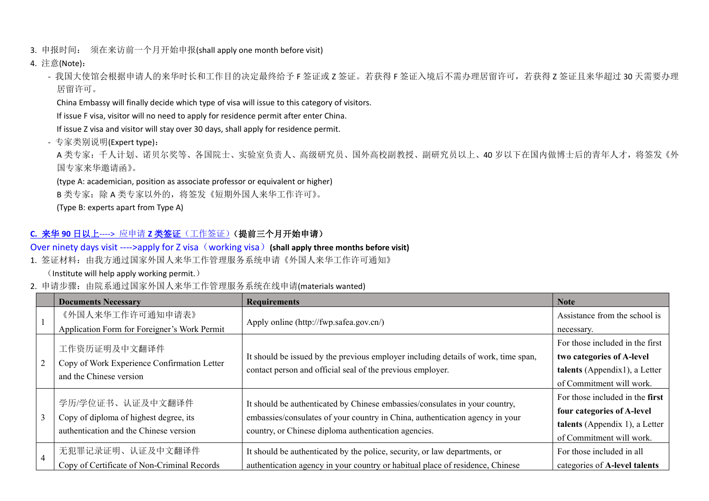- 3. 申报时间: 须在来访前一个月开始申报(shall apply one month before visit)
- 4. 注意(Note):

- 我国大使馆会根据申请人的来华时长和工作目的决定最终给予 F 签证或 Z 签证。若获得 F 签证入境后不需办理居留许可, 若获得 Z 签证且来华超过 30 天需要办理 居留许可。

China Embassy will finally decide which type of visa will issue to this category of visitors.

If issue F visa, visitor will no need to apply for residence permit after enter China.

If issue Z visa and visitor will stay over 30 days, shall apply for residence permit.

- 专家类别说明(Expert type):

A 类专家:千人计划、诺贝尔奖等、各国院士、实验室负责人、高级研究员、国外高校副教授、副研究员以上、40 岁以下在国内做博士后的青年人才,将签发《外 国专家来华邀请函》。

(type A: academician, position as associate professor or equivalent or higher)

B 类专家:除 A 类专家以外的, 将签发《短期外国人来华工作许可》。

(Type B: experts apart from Type A)

### **C.** 来华 **90** 日以上----> 应申请 **Z** 类签证(工作签证)(提前三个月开始申请)

Over ninety days visit ---->apply for Z visa(working visa)**(shall apply three months before visit)**

1. 签证材料:由我方通过国家外国人来华工作管理服务系统申请《外国人来华工作许可通知》

(Institute will help apply working permit.)

2. 申请步骤: 由院系通过国家外国人来华工作管理服务系统在线申请(materials wanted)

|  | <b>Documents Necessary</b>                   | <b>Requirements</b>                                                                                                                                                                                                 | <b>Note</b>                     |
|--|----------------------------------------------|---------------------------------------------------------------------------------------------------------------------------------------------------------------------------------------------------------------------|---------------------------------|
|  | 《外国人来华工作许可通知申请表》                             | Apply online (http://fwp.safea.gov.cn/)                                                                                                                                                                             | Assistance from the school is   |
|  | Application Form for Foreigner's Work Permit |                                                                                                                                                                                                                     | necessary.                      |
|  | 工作资历证明及中文翻译件                                 |                                                                                                                                                                                                                     | For those included in the first |
|  | Copy of Work Experience Confirmation Letter  | It should be issued by the previous employer including details of work, time span,<br>contact person and official seal of the previous employer.                                                                    | two categories of A-level       |
|  | and the Chinese version                      |                                                                                                                                                                                                                     | talents (Appendix1), a Letter   |
|  |                                              |                                                                                                                                                                                                                     | of Commitment will work.        |
|  | 学历/学位证书、认证及中文翻译件                             | It should be authenticated by Chinese embassies/consulates in your country,<br>embassies/consulates of your country in China, authentication agency in your<br>country, or Chinese diploma authentication agencies. | For those included in the first |
|  | Copy of diploma of highest degree, its       |                                                                                                                                                                                                                     | four categories of A-level      |
|  | authentication and the Chinese version       |                                                                                                                                                                                                                     | talents (Appendix 1), a Letter  |
|  |                                              |                                                                                                                                                                                                                     | of Commitment will work.        |
|  | 无犯罪记录证明、认证及中文翻译件                             | It should be authenticated by the police, security, or law departments, or                                                                                                                                          | For those included in all       |
|  | Copy of Certificate of Non-Criminal Records  | authentication agency in your country or habitual place of residence, Chinese                                                                                                                                       | categories of A-level talents   |